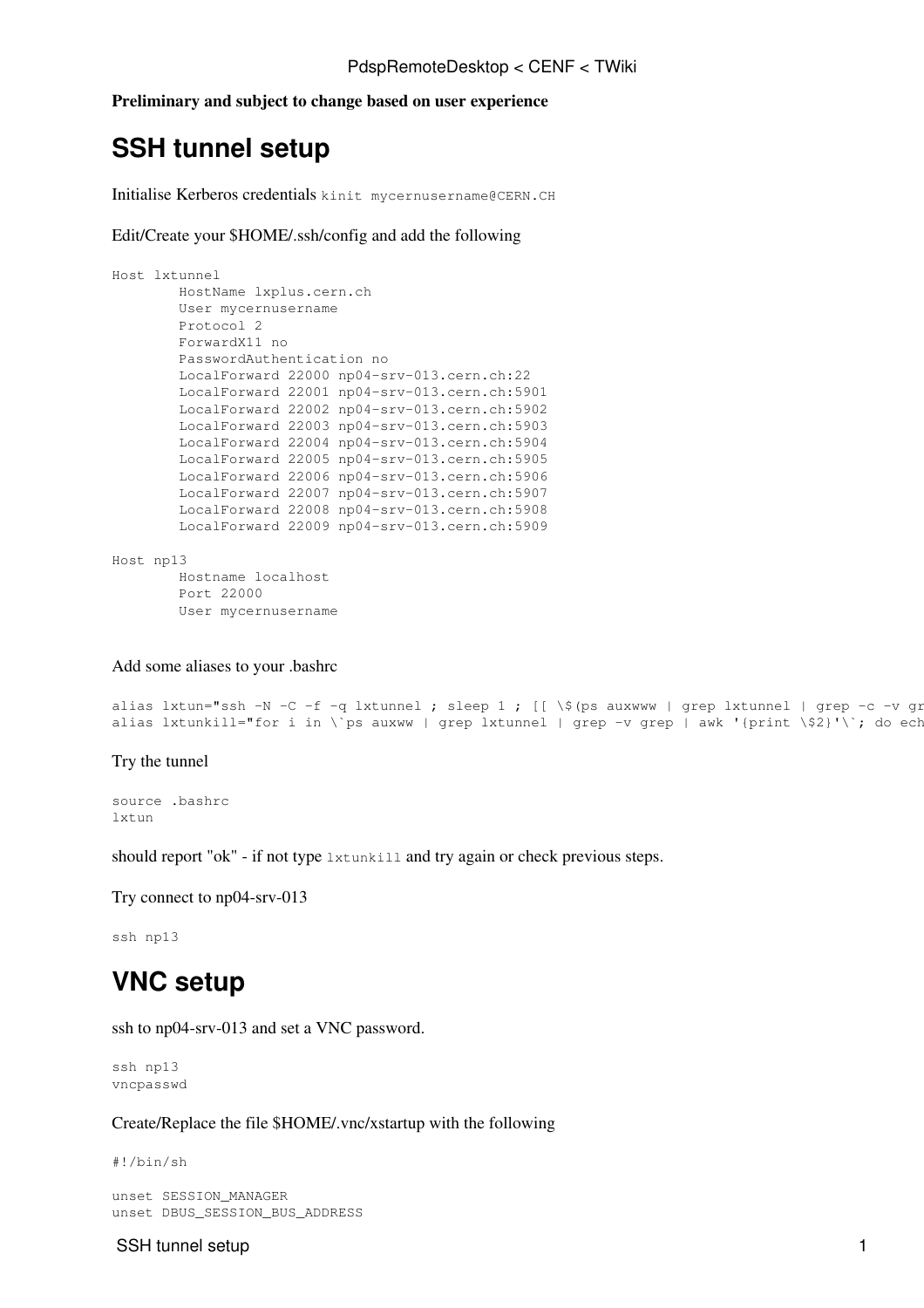**Preliminary and subject to change based on user experience**

# **SSH tunnel setup**

Initialise Kerberos credentials kinit [mycernusername@CERN.](mailto:mycernusername@CERN)CH

Edit/Create your \$HOME/.ssh/config and add the following

```
Host lxtunnel
        HostName lxplus.cern.ch
        User mycernusername
        Protocol 2
        ForwardX11 no
         PasswordAuthentication no
         LocalForward 22000 np04-srv-013.cern.ch:22
         LocalForward 22001 np04-srv-013.cern.ch:5901
         LocalForward 22002 np04-srv-013.cern.ch:5902
         LocalForward 22003 np04-srv-013.cern.ch:5903
         LocalForward 22004 np04-srv-013.cern.ch:5904
         LocalForward 22005 np04-srv-013.cern.ch:5905
         LocalForward 22006 np04-srv-013.cern.ch:5906
         LocalForward 22007 np04-srv-013.cern.ch:5907
         LocalForward 22008 np04-srv-013.cern.ch:5908
         LocalForward 22009 np04-srv-013.cern.ch:5909
Host np13
        Hostname localhost
         Port 22000
```
User mycernusername

Add some aliases to your .bashrc

```
alias lxtun="ssh -N -C -f -q lxtunnel ; sleep 1 ; [[ \$(ps auxwww | grep lxtunnel | grep -c -v grep) == 1 ]] && echo ok || echo not ok"
alias lxtunkill="for i in \`ps auxww | grep lxtunnel | grep -v grep | awk '{print \$2}'\`; do ech
```
### Try the tunnel

source .bashrc lxtun

should report "ok" - if not type lxtunkill and try again or check previous steps.

Try connect to np04-srv-013

ssh np13

## **VNC setup**

ssh to np04-srv-013 and set a VNC password.

```
ssh np13
vncpasswd
```
Create/Replace the file \$HOME/.vnc/xstartup with the following

#!/bin/sh

```
unset SESSION_MANAGER
unset DBUS_SESSION_BUS_ADDRESS
```
#### SSH tunnel setup 1 and 1 and 1 and 1 and 1 and 1 and 1 and 1 and 1 and 1 and 1 and 1 and 1 and 1 and 1 and 1 and 1 and 1 and 1 and 1 and 1 and 1 and 1 and 1 and 1 and 1 and 1 and 1 and 1 and 1 and 1 and 1 and 1 and 1 and 1